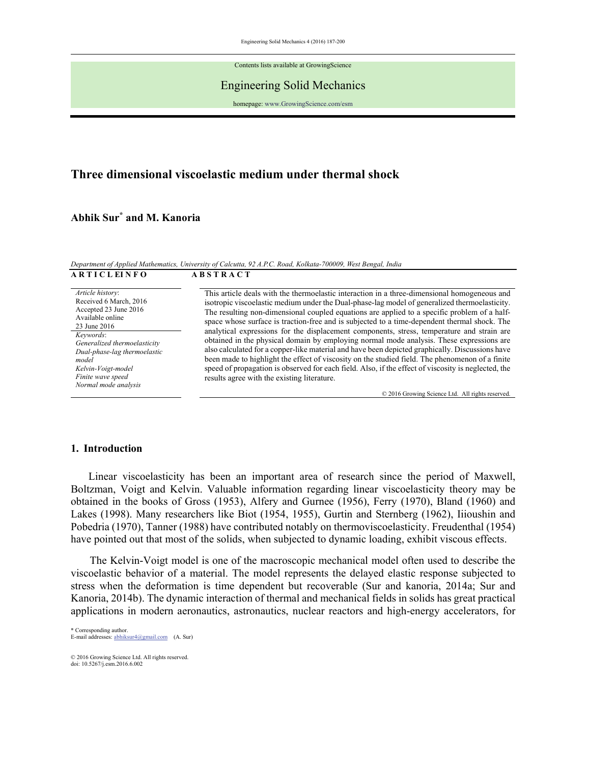Engineering Solid Mechanics 4 (2016) 187-200

Contents lists available at GrowingScience

### Engineering Solid Mechanics

homepage: www.GrowingScience.com/esm

# **Three dimensional viscoelastic medium under thermal shock**

**Abhik Sur\* and M. Kanoria** 

*Department of Applied Mathematics, University of Calcutta, 92 A.P.C. Road, Kolkata-700009, West Bengal, India*  **A R S T I C L EI N F O A B S T R A C T** 

| AKIIULEINFU                                                                                                                              | ABSIKAUI                                                                                                                                                                                                                                              |
|------------------------------------------------------------------------------------------------------------------------------------------|-------------------------------------------------------------------------------------------------------------------------------------------------------------------------------------------------------------------------------------------------------|
| Article history:<br>Received 6 March, 2016                                                                                               | This article deals with the thermoelastic interaction in a three-dimensional homogeneous and<br>isotropic viscoelastic medium under the Dual-phase-lag model of generalized thermoelasticity.                                                         |
| Accepted 23 June 2016<br>Available online<br>23 June 2016                                                                                | The resulting non-dimensional coupled equations are applied to a specific problem of a half-<br>space whose surface is traction-free and is subjected to a time-dependent thermal shock. The                                                          |
| Keywords:                                                                                                                                | analytical expressions for the displacement components, stress, temperature and strain are                                                                                                                                                            |
| Generalized thermoelasticity<br>Dual-phase-lag thermoelastic<br>model<br>Kelvin-Voigt-model<br>Finite wave speed<br>Normal mode analysis | obtained in the physical domain by employing normal mode analysis. These expressions are<br>also calculated for a copper-like material and have been depicted graphically. Discussions have                                                           |
|                                                                                                                                          | been made to highlight the effect of viscosity on the studied field. The phenomenon of a finite<br>speed of propagation is observed for each field. Also, if the effect of viscosity is neglected, the<br>results agree with the existing literature. |
|                                                                                                                                          | © 2016 Growing Science Ltd. All rights reserved.                                                                                                                                                                                                      |

#### **1. Introduction**

 Linear viscoelasticity has been an important area of research since the period of Maxwell, Boltzman, Voigt and Kelvin. Valuable information regarding linear viscoelasticity theory may be obtained in the books of Gross (1953), Alfery and Gurnee (1956), Ferry (1970), Bland (1960) and Lakes (1998). Many researchers like Biot (1954, 1955), Gurtin and Sternberg (1962), Iiioushin and Pobedria (1970), Tanner (1988) have contributed notably on thermoviscoelasticity. Freudenthal (1954) have pointed out that most of the solids, when subjected to dynamic loading, exhibit viscous effects.

 The Kelvin-Voigt model is one of the macroscopic mechanical model often used to describe the viscoelastic behavior of a material. The model represents the delayed elastic response subjected to stress when the deformation is time dependent but recoverable (Sur and kanoria, 2014a; Sur and Kanoria, 2014b). The dynamic interaction of thermal and mechanical fields in solids has great practical applications in modern aeronautics, astronautics, nuclear reactors and high-energy accelerators, for

\* Corresponding author. E-mail addresses: abhiksur4@gmail.com (A. Sur)

© 2016 Growing Science Ltd. All rights reserved. doi: 10.5267/j.esm.2016.6.002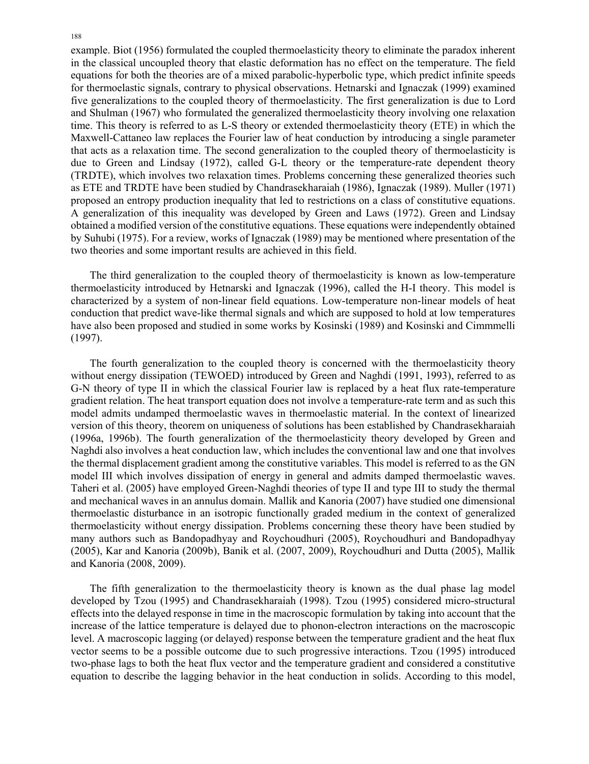example. Biot (1956) formulated the coupled thermoelasticity theory to eliminate the paradox inherent in the classical uncoupled theory that elastic deformation has no effect on the temperature. The field equations for both the theories are of a mixed parabolic-hyperbolic type, which predict infinite speeds for thermoelastic signals, contrary to physical observations. Hetnarski and Ignaczak (1999) examined five generalizations to the coupled theory of thermoelasticity. The first generalization is due to Lord and Shulman (1967) who formulated the generalized thermoelasticity theory involving one relaxation time. This theory is referred to as L-S theory or extended thermoelasticity theory (ETE) in which the Maxwell-Cattaneo law replaces the Fourier law of heat conduction by introducing a single parameter that acts as a relaxation time. The second generalization to the coupled theory of thermoelasticity is due to Green and Lindsay (1972), called G-L theory or the temperature-rate dependent theory (TRDTE), which involves two relaxation times. Problems concerning these generalized theories such as ETE and TRDTE have been studied by Chandrasekharaiah (1986), Ignaczak (1989). Muller (1971) proposed an entropy production inequality that led to restrictions on a class of constitutive equations. A generalization of this inequality was developed by Green and Laws (1972). Green and Lindsay obtained a modified version of the constitutive equations. These equations were independently obtained by Suhubi (1975). For a review, works of Ignaczak (1989) may be mentioned where presentation of the two theories and some important results are achieved in this field.

 The third generalization to the coupled theory of thermoelasticity is known as low-temperature thermoelasticity introduced by Hetnarski and Ignaczak (1996), called the H-I theory. This model is characterized by a system of non-linear field equations. Low-temperature non-linear models of heat conduction that predict wave-like thermal signals and which are supposed to hold at low temperatures have also been proposed and studied in some works by Kosinski (1989) and Kosinski and Cimmmelli (1997).

 The fourth generalization to the coupled theory is concerned with the thermoelasticity theory without energy dissipation (TEWOED) introduced by Green and Naghdi (1991, 1993), referred to as G-N theory of type II in which the classical Fourier law is replaced by a heat flux rate-temperature gradient relation. The heat transport equation does not involve a temperature-rate term and as such this model admits undamped thermoelastic waves in thermoelastic material. In the context of linearized version of this theory, theorem on uniqueness of solutions has been established by Chandrasekharaiah (1996a, 1996b). The fourth generalization of the thermoelasticity theory developed by Green and Naghdi also involves a heat conduction law, which includes the conventional law and one that involves the thermal displacement gradient among the constitutive variables. This model is referred to as the GN model III which involves dissipation of energy in general and admits damped thermoelastic waves. Taheri et al. (2005) have employed Green-Naghdi theories of type II and type III to study the thermal and mechanical waves in an annulus domain. Mallik and Kanoria (2007) have studied one dimensional thermoelastic disturbance in an isotropic functionally graded medium in the context of generalized thermoelasticity without energy dissipation. Problems concerning these theory have been studied by many authors such as Bandopadhyay and Roychoudhuri (2005), Roychoudhuri and Bandopadhyay (2005), Kar and Kanoria (2009b), Banik et al. (2007, 2009), Roychoudhuri and Dutta (2005), Mallik and Kanoria (2008, 2009).

 The fifth generalization to the thermoelasticity theory is known as the dual phase lag model developed by Tzou (1995) and Chandrasekharaiah (1998). Tzou (1995) considered micro-structural effects into the delayed response in time in the macroscopic formulation by taking into account that the increase of the lattice temperature is delayed due to phonon-electron interactions on the macroscopic level. A macroscopic lagging (or delayed) response between the temperature gradient and the heat flux vector seems to be a possible outcome due to such progressive interactions. Tzou (1995) introduced two-phase lags to both the heat flux vector and the temperature gradient and considered a constitutive equation to describe the lagging behavior in the heat conduction in solids. According to this model,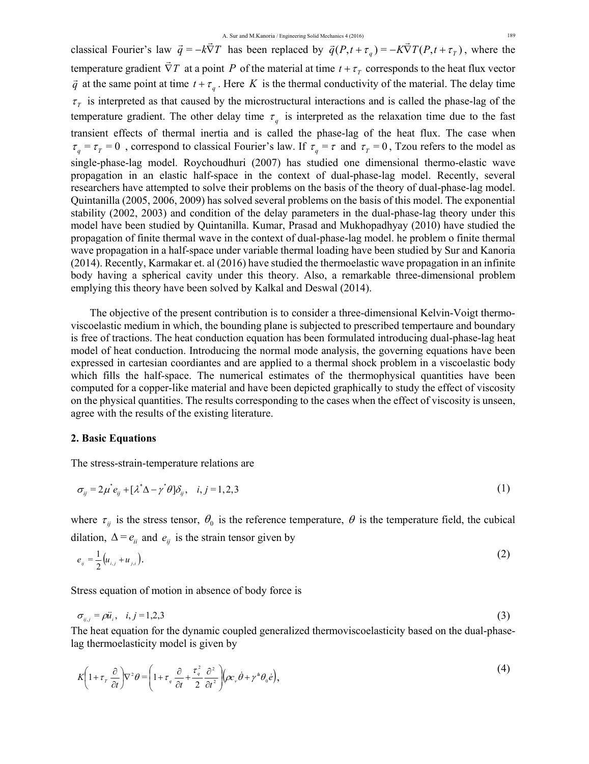classical Fourier's law  $\vec{q} = -k\vec{\nabla}T$  has been replaced by  $\vec{q}(P, t + \tau_q) = -K\vec{\nabla}T(P, t + \tau_q)$ , where the temperature gradient  $\vec{\nabla}T$  at a point *P* of the material at time  $t + \tau_T$  corresponds to the heat flux vector  $\overrightarrow{q}$  at the same point at time  $t + \tau_q$ . Here *K* is the thermal conductivity of the material. The delay time  $\tau$ <sup>T</sup> is interpreted as that caused by the microstructural interactions and is called the phase-lag of the temperature gradient. The other delay time  $\tau_a$  is interpreted as the relaxation time due to the fast transient effects of thermal inertia and is called the phase-lag of the heat flux. The case when  $\tau_q = \tau_T = 0$ , correspond to classical Fourier's law. If  $\tau_q = \tau$  and  $\tau_T = 0$ , Tzou refers to the model as single-phase-lag model. Roychoudhuri (2007) has studied one dimensional thermo-elastic wave propagation in an elastic half-space in the context of dual-phase-lag model. Recently, several researchers have attempted to solve their problems on the basis of the theory of dual-phase-lag model. Quintanilla (2005, 2006, 2009) has solved several problems on the basis of this model. The exponential stability (2002, 2003) and condition of the delay parameters in the dual-phase-lag theory under this model have been studied by Quintanilla. Kumar, Prasad and Mukhopadhyay (2010) have studied the propagation of finite thermal wave in the context of dual-phase-lag model. he problem o finite thermal wave propagation in a half-space under variable thermal loading have been studied by Sur and Kanoria (2014). Recently, Karmakar et. al (2016) have studied the thermoelastic wave propagation in an infinite body having a spherical cavity under this theory. Also, a remarkable three-dimensional problem emplying this theory have been solved by Kalkal and Deswal (2014).

 The objective of the present contribution is to consider a three-dimensional Kelvin-Voigt thermoviscoelastic medium in which, the bounding plane is subjected to prescribed tempertaure and boundary is free of tractions. The heat conduction equation has been formulated introducing dual-phase-lag heat model of heat conduction. Introducing the normal mode analysis, the governing equations have been expressed in cartesian coordiantes and are applied to a thermal shock problem in a viscoelastic body which fills the half-space. The numerical estimates of the thermophysical quantities have been computed for a copper-like material and have been depicted graphically to study the effect of viscosity on the physical quantities. The results corresponding to the cases when the effect of viscosity is unseen, agree with the results of the existing literature.

# **2. Basic Equations**

The stress-strain-temperature relations are

$$
\sigma_{ij} = 2\mu^* e_{ij} + [\lambda^* \Delta - \gamma^* \theta] \delta_{ij}, \quad i, j = 1, 2, 3 \tag{1}
$$

where  $\tau_{ij}$  is the stress tensor,  $\theta_0$  is the reference temperature,  $\theta$  is the temperature field, the cubical dilation,  $\Delta = e_{ii}$  and  $e_{ii}$  is the strain tensor given by

$$
e_{ij} = \frac{1}{2} (u_{i,j} + u_{j,i}). \tag{2}
$$

Stress equation of motion in absence of body force is

$$
\sigma_{ij,j} = \rho \ddot{u}_i, \quad i, j = 1, 2, 3 \tag{3}
$$

The heat equation for the dynamic coupled generalized thermoviscoelasticity based on the dual-phaselag thermoelasticity model is given by

$$
K\left(1+\tau_{r}\frac{\partial}{\partial t}\right)\nabla^{2}\theta=\left(1+\tau_{q}\frac{\partial}{\partial t}+\frac{\tau_{q}^{2}}{2}\frac{\partial^{2}}{\partial t^{2}}\right)\!\!\left(\rho c_{v}\dot{\theta}+\gamma^{a}\theta_{0}\dot{e}\right),\tag{4}
$$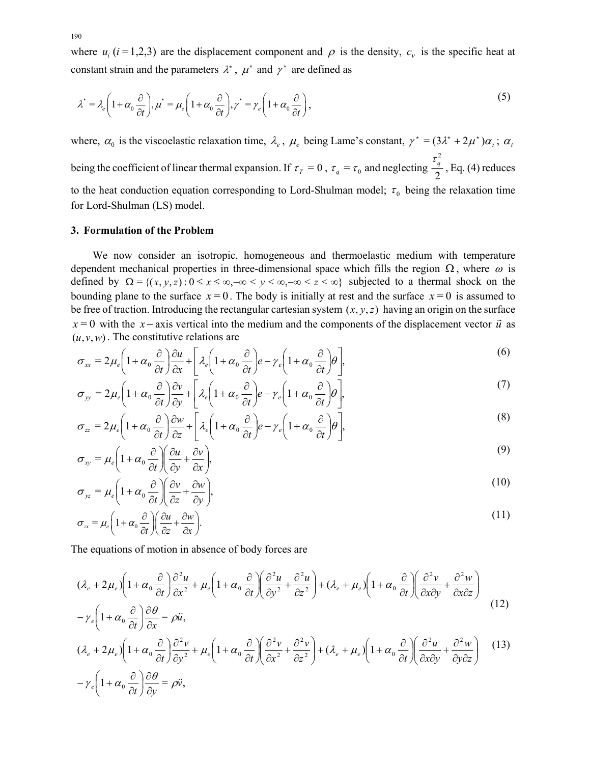where  $u_i$  ( $i = 1,2,3$ ) are the displacement component and  $\rho$  is the density,  $c_v$  is the specific heat at constant strain and the parameters  $\lambda^*$ ,  $\mu^*$  and  $\gamma^*$  are defined as

$$
\lambda^* = \lambda_e \left( 1 + \alpha_0 \frac{\partial}{\partial t} \right), \mu^* = \mu_e \left( 1 + \alpha_0 \frac{\partial}{\partial t} \right), \gamma^* = \gamma_e \left( 1 + \alpha_0 \frac{\partial}{\partial t} \right),\tag{5}
$$

where,  $\alpha_0$  is the viscoelastic relaxation time,  $\lambda_e$ ,  $\mu_e$  being Lame's constant,  $\gamma^* = (3\lambda^* + 2\mu^*)\alpha_i$ ;  $\alpha_t$ being the coefficient of linear thermal expansion. If  $\tau_T = 0$ ,  $\tau_q = \tau_0$  and neglecting  $\frac{q}{2}$  $\frac{\tau_q^2}{2}$ , Eq. (4) reduces to the heat conduction equation corresponding to Lord-Shulman model;  $\tau_0$  being the relaxation time for Lord-Shulman (LS) model.

### **3. Formulation of the Problem**

 We now consider an isotropic, homogeneous and thermoelastic medium with temperature dependent mechanical properties in three-dimensional space which fills the region  $\Omega$ , where  $\omega$  is defined by  $\Omega = \{(x, y, z) : 0 \le x \le \infty, -\infty < y < \infty, -\infty < z < \infty\}$  subjected to a thermal shock on the bounding plane to the surface  $x = 0$ . The body is initially at rest and the surface  $x = 0$  is assumed to be free of traction. Introducing the rectangular cartesian system  $(x, y, z)$  having an origin on the surface  $x = 0$  with the *x* – axis vertical into the medium and the components of the displacement vector  $\vec{u}$  as  $(u, v, w)$ . The constitutive relations are

$$
\sigma_{xx} = 2\mu_e \left( 1 + \alpha_0 \frac{\partial}{\partial t} \right) \frac{\partial u}{\partial x} + \left[ \lambda_e \left( 1 + \alpha_0 \frac{\partial}{\partial t} \right) e - \gamma_e \left( 1 + \alpha_0 \frac{\partial}{\partial t} \right) \theta \right],\tag{6}
$$

$$
\sigma_{yy} = 2\mu_e \left( 1 + \alpha_0 \frac{\partial}{\partial t} \right) \frac{\partial v}{\partial y} + \left[ \lambda_e \left( 1 + \alpha_0 \frac{\partial}{\partial t} \right) e - \gamma_e \left( 1 + \alpha_0 \frac{\partial}{\partial t} \right) \theta \right],\tag{7}
$$

$$
\sigma_{zz} = 2\mu_e \left( 1 + \alpha_0 \frac{\partial}{\partial t} \right) \frac{\partial w}{\partial z} + \left[ \lambda_e \left( 1 + \alpha_0 \frac{\partial}{\partial t} \right) e - \gamma_e \left( 1 + \alpha_0 \frac{\partial}{\partial t} \right) \theta \right],\tag{8}
$$

$$
\sigma_{xy} = \mu_e \left( 1 + \alpha_0 \frac{\partial}{\partial t} \right) \left( \frac{\partial u}{\partial y} + \frac{\partial v}{\partial x} \right),\tag{9}
$$

$$
\sigma_{yz} = \mu_e \left( 1 + \alpha_0 \frac{\partial}{\partial t} \right) \left( \frac{\partial v}{\partial z} + \frac{\partial w}{\partial y} \right),\tag{10}
$$

$$
\sigma_{zx} = \mu_e \left( 1 + \alpha_0 \frac{\partial}{\partial t} \right) \left( \frac{\partial u}{\partial z} + \frac{\partial w}{\partial x} \right).
$$
\n(11)

The equations of motion in absence of body forces are

$$
(\lambda_e + 2\mu_e) \left( 1 + \alpha_0 \frac{\partial}{\partial t} \right) \frac{\partial^2 u}{\partial x^2} + \mu_e \left( 1 + \alpha_0 \frac{\partial}{\partial t} \right) \left( \frac{\partial^2 u}{\partial y^2} + \frac{\partial^2 u}{\partial z^2} \right) + (\lambda_e + \mu_e) \left( 1 + \alpha_0 \frac{\partial}{\partial t} \right) \left( \frac{\partial^2 v}{\partial x \partial y} + \frac{\partial^2 w}{\partial x \partial z} \right)
$$
\n
$$
\left( 1 + \alpha_0 \frac{\partial}{\partial t} \right) \frac{\partial^2 u}{\partial x \partial y} + \mu_e \left( 1 + \alpha_0 \frac{\partial}{\partial t} \right) \left( \frac{\partial^2 u}{\partial y^2} + \frac{\partial^2 u}{\partial z^2} \right) + (\lambda_e + \mu_e) \left( 1 + \alpha_0 \frac{\partial}{\partial t} \right) \left( \frac{\partial^2 v}{\partial x \partial y} + \frac{\partial^2 w}{\partial x \partial z} \right) \tag{12}
$$

$$
-\gamma_e \left(1+\alpha_0 \frac{\partial}{\partial t}\right) \frac{\partial \theta}{\partial x} = \rho \ddot{u},\qquad(1)
$$

$$
(\lambda_e + 2\mu_e) \left( 1 + \alpha_0 \frac{\partial}{\partial t} \right) \frac{\partial^2 v}{\partial y^2} + \mu_e \left( 1 + \alpha_0 \frac{\partial}{\partial t} \right) \left( \frac{\partial^2 v}{\partial x^2} + \frac{\partial^2 v}{\partial z^2} \right) + (\lambda_e + \mu_e) \left( 1 + \alpha_0 \frac{\partial}{\partial t} \right) \left( \frac{\partial^2 u}{\partial x \partial y} + \frac{\partial^2 w}{\partial y \partial z} \right) \tag{13}
$$
\n
$$
- \gamma_e \left( 1 + \alpha_0 \frac{\partial}{\partial t} \right) \frac{\partial \theta}{\partial y} = \rho \ddot{v},
$$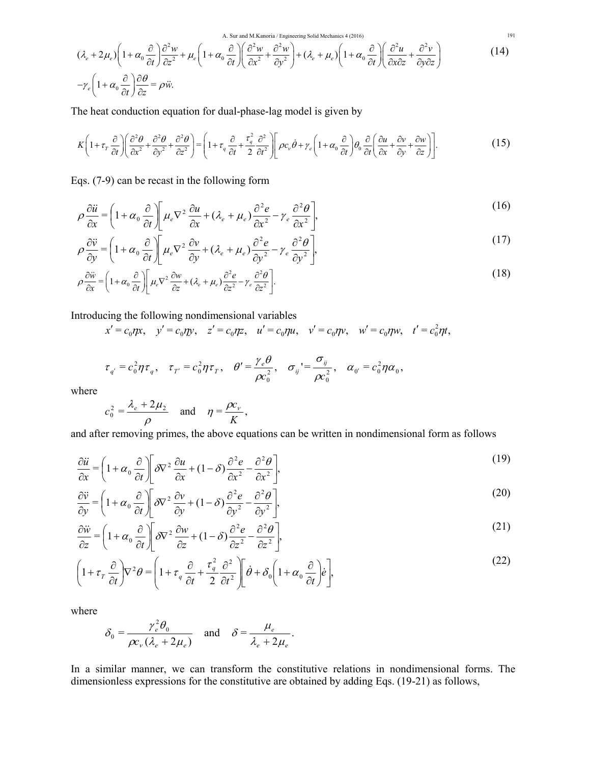A. Sur and M.Kanoria / Engineering Solid Mechanics 4 (2016) 191

$$
(\lambda_e + 2\mu_e) \left(1 + \alpha_0 \frac{\partial}{\partial t}\right) \frac{\partial^2 w}{\partial z^2} + \mu_e \left(1 + \alpha_0 \frac{\partial}{\partial t}\right) \left(\frac{\partial^2 w}{\partial x^2} + \frac{\partial^2 w}{\partial y^2}\right) + (\lambda_e + \mu_e) \left(1 + \alpha_0 \frac{\partial}{\partial t}\right) \left(\frac{\partial^2 u}{\partial x \partial z} + \frac{\partial^2 v}{\partial y \partial z}\right)
$$
(14)

The heat conduction equation for dual-phase-lag model is given by

$$
K\left(1+\tau_{r}\frac{\partial}{\partial t}\right)\left(\frac{\partial^{2} \theta}{\partial x^{2}}+\frac{\partial^{2} \theta}{\partial y^{2}}+\frac{\partial^{2} \theta}{\partial z^{2}}\right)=\left(1+\tau_{q}\frac{\partial}{\partial t}+\frac{\tau_{q}^{2}}{2}\frac{\partial^{2}}{\partial t^{2}}\right)\left[\rho c_{\nu}\dot{\theta}+\gamma_{e}\left(1+\alpha_{0}\frac{\partial}{\partial t}\right)\theta_{0}\frac{\partial}{\partial t}\left(\frac{\partial u}{\partial x}+\frac{\partial v}{\partial y}+\frac{\partial w}{\partial z}\right)\right].
$$
\n(15)

Eqs. (7-9) can be recast in the following form

$$
\rho \frac{\partial \ddot{u}}{\partial x} = \left(1 + \alpha_0 \frac{\partial}{\partial t}\right) \left[\mu_e \nabla^2 \frac{\partial u}{\partial x} + (\lambda_e + \mu_e) \frac{\partial^2 e}{\partial x^2} - \gamma_e \frac{\partial^2 \theta}{\partial x^2}\right],\tag{16}
$$

$$
\rho \frac{\partial \ddot{v}}{\partial y} = \left( 1 + \alpha_0 \frac{\partial}{\partial t} \right) \left[ \mu_e \nabla^2 \frac{\partial v}{\partial y} + (\lambda_e + \mu_e) \frac{\partial^2 e}{\partial y^2} - \gamma_e \frac{\partial^2 \theta}{\partial y^2} \right],\tag{17}
$$

$$
\rho \frac{\partial \ddot{w}}{\partial x} = \left(1 + \alpha_0 \frac{\partial}{\partial t}\right) \left[\mu_e \nabla^2 \frac{\partial w}{\partial z} + (\lambda_e + \mu_e) \frac{\partial^2 e}{\partial z^2} - \gamma_e \frac{\partial^2 \theta}{\partial z^2}\right].
$$
\n(18)

Introducing the following nondimensional variables

$$
x' = c_0 \eta x
$$
,  $y' = c_0 \eta y$ ,  $z' = c_0 \eta z$ ,  $u' = c_0 \eta u$ ,  $v' = c_0 \eta v$ ,  $w' = c_0 \eta w$ ,  $t' = c_0^2 \eta t$ ,

$$
\tau_{q'}=c_0^2\eta\tau_q,\quad \tau_{T'}=c_0^2\eta\tau_T,\quad \theta'=\frac{\gamma_e\theta}{\rho c_0^2},\quad \sigma_{ij}=\frac{\sigma_{ij}}{\rho c_0^2},\quad \alpha_{0'}=c_0^2\eta\alpha_0,
$$

where

$$
c_0^2 = \frac{\lambda_e + 2\mu_2}{\rho}
$$
 and  $\eta = \frac{\rho c_v}{K}$ ,

and after removing primes, the above equations can be written in nondimensional form as follows

$$
\frac{\partial \ddot{u}}{\partial x} = \left(1 + \alpha_0 \frac{\partial}{\partial t}\right) \left[\delta \nabla^2 \frac{\partial u}{\partial x} + (1 - \delta) \frac{\partial^2 e}{\partial x^2} - \frac{\partial^2 \theta}{\partial x^2}\right],\tag{19}
$$

$$
\frac{\partial \ddot{v}}{\partial y} = \left(1 + \alpha_0 \frac{\partial}{\partial t}\right) \left[ \delta \nabla^2 \frac{\partial v}{\partial y} + (1 - \delta) \frac{\partial^2 e}{\partial y^2} - \frac{\partial^2 \theta}{\partial y^2} \right],\tag{20}
$$

$$
\frac{\partial \ddot{w}}{\partial z} = \left(1 + \alpha_0 \frac{\partial}{\partial t}\right) \left[ \delta \nabla^2 \frac{\partial w}{\partial z} + (1 - \delta) \frac{\partial^2 e}{\partial z^2} - \frac{\partial^2 \theta}{\partial z^2} \right],\tag{21}
$$

$$
\left(1 + \tau_r \frac{\partial}{\partial t}\right) \nabla^2 \theta = \left(1 + \tau_q \frac{\partial}{\partial t} + \frac{\tau_q^2}{2} \frac{\partial^2}{\partial t^2}\right) \left[\dot{\theta} + \delta_0 \left(1 + \alpha_0 \frac{\partial}{\partial t}\right) \dot{e}\right],\tag{22}
$$

where

$$
\delta_0 = \frac{\gamma_e^2 \theta_0}{\rho c_v (\lambda_e + 2\mu_e)} \quad \text{and} \quad \delta = \frac{\mu_e}{\lambda_e + 2\mu_e}.
$$

In a similar manner, we can transform the constitutive relations in nondimensional forms. The dimensionless expressions for the constitutive are obtained by adding Eqs. (19-21) as follows,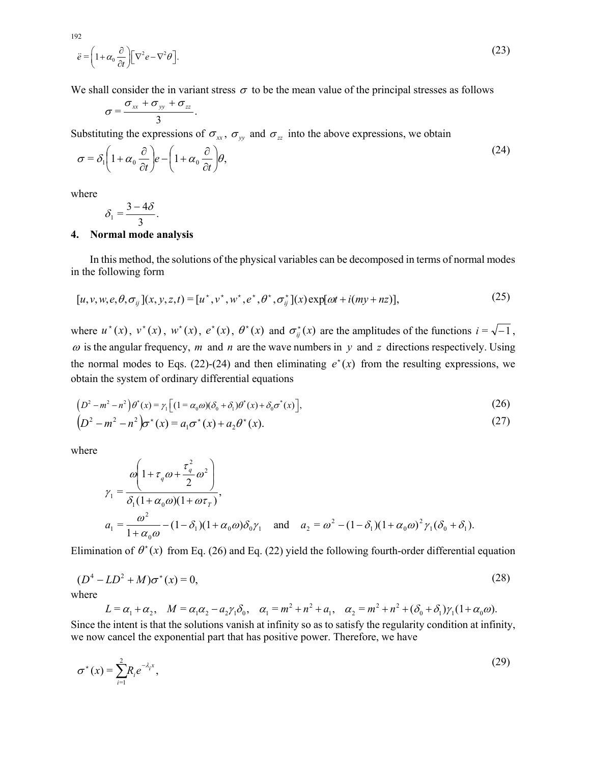$$
\ddot{e} = \left(1 + \alpha_0 \frac{\partial}{\partial t}\right) \left[\nabla^2 e - \nabla^2 \theta\right].
$$
\n(23)

We shall consider the in variant stress  $\sigma$  to be the mean value of the principal stresses as follows

$$
\sigma=\frac{\sigma_{xx}+\sigma_{yy}+\sigma_{zz}}{3}.
$$

Substituting the expressions of  $\sigma_{xx}$ ,  $\sigma_{yy}$  and  $\sigma_{zz}$  into the above expressions, we obtain

$$
\sigma = \delta_1 \left( 1 + \alpha_0 \frac{\partial}{\partial t} \right) e - \left( 1 + \alpha_0 \frac{\partial}{\partial t} \right) \theta,
$$
\n(24)

where

$$
\delta_1=\frac{3-4\delta}{3}.
$$

# **4. Normal mode analysis**

 In this method, the solutions of the physical variables can be decomposed in terms of normal modes in the following form

$$
[u, v, w, e, \theta, \sigma_{ij}](x, y, z, t) = [u^*, v^*, w^*, e^*, \theta^*, \sigma_{ij}^*](x) \exp[\omega t + i(my + nz)],
$$
\n(25)

where  $u^*(x)$ ,  $v^*(x)$ ,  $w^*(x)$ ,  $e^*(x)$ ,  $\theta^*(x)$  and  $\sigma^*_{ij}(x)$  are the amplitudes of the functions  $i = \sqrt{-1}$ ,  $\omega$  is the angular frequency, *m* and *n* are the wave numbers in *y* and *z* directions respectively. Using the normal modes to Eqs. (22)-(24) and then eliminating  $e^{x}(x)$  from the resulting expressions, we obtain the system of ordinary differential equations

$$
(D2 – m2 – n2)\theta*(x) = \gamma_1 [(1 = \alpha_0 \omega)(\delta_0 + \delta_1)\theta*(x) + \delta_0 \sigma*(x)],
$$
  
\n
$$
(D2 – m2 – n2)\sigma*(x) = a_1 \sigma*(x) + a_2 \theta*(x).
$$
 (27)

where

$$
\gamma_1 = \frac{\omega \left(1 + \tau_q \omega + \frac{\tau_q^2}{2} \omega^2\right)}{\delta_1 (1 + \alpha_0 \omega)(1 + \omega \tau_r)},
$$
  
\n
$$
a_1 = \frac{\omega^2}{1 + \alpha_0 \omega} - (1 - \delta_1)(1 + \alpha_0 \omega)\delta_0 \gamma_1 \text{ and } a_2 = \omega^2 - (1 - \delta_1)(1 + \alpha_0 \omega)^2 \gamma_1 (\delta_0 + \delta_1).
$$

Elimination of  $\theta^*(x)$  from Eq. (26) and Eq. (22) yield the following fourth-order differential equation

$$
(D4 – LD2 + M)\sigma*(x) = 0,
$$
\n(28)

where

 $L = \alpha_1 + \alpha_2$ ,  $M = \alpha_1 \alpha_2 - a_2 \gamma_1 \delta_0$ ,  $\alpha_1 = m^2 + n^2 + a_1$ ,  $\alpha_2 = m^2 + n^2 + (\delta_0 + \delta_1) \gamma_1 (1 + \alpha_0 \omega)$ . Since the intent is that the solutions vanish at infinity so as to satisfy the regularity condition at infinity, we now cancel the exponential part that has positive power. Therefore, we have

$$
\sigma^*(x) = \sum_{i=1}^2 R_i e^{-\lambda_i x},
$$
\n(29)

192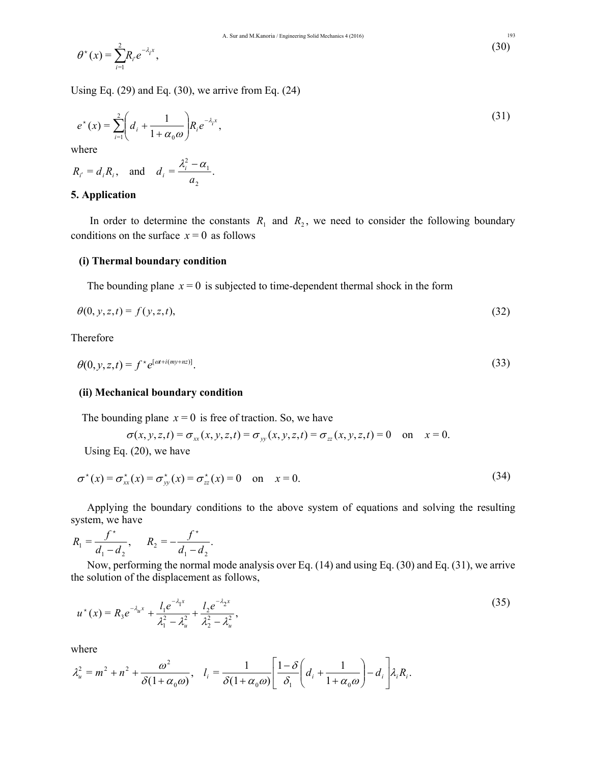$$
\theta^*(x) = \sum_{i=1}^2 R_i e^{-\lambda_i x}, \tag{30}
$$

Using Eq.  $(29)$  and Eq.  $(30)$ , we arrive from Eq.  $(24)$ 

$$
e^{*}(x) = \sum_{i=1}^{2} \left( d_{i} + \frac{1}{1 + \alpha_{0} \omega} \right) R_{i} e^{-\lambda_{i} x}, \tag{31}
$$

where

$$
R_{i'} = d_i R_i
$$
, and  $d_i = \frac{\lambda_i^2 - \alpha_1}{\alpha_2}$ .

# **5. Application**

In order to determine the constants  $R_1$  and  $R_2$ , we need to consider the following boundary conditions on the surface  $x = 0$  as follows

### **(i) Thermal boundary condition**

The bounding plane  $x = 0$  is subjected to time-dependent thermal shock in the form

$$
\theta(0, y, z, t) = f(y, z, t),\tag{32}
$$

# Therefore

$$
\theta(0, y, z, t) = f^* e^{[\omega t + i(my + nz)]}.
$$
\n(33)

#### **(ii) Mechanical boundary condition**

The bounding plane  $x = 0$  is free of traction. So, we have

$$
\sigma(x, y, z, t) = \sigma_{xx}(x, y, z, t) = \sigma_{yy}(x, y, z, t) = \sigma_{zz}(x, y, z, t) = 0 \quad \text{on} \quad x = 0.
$$

Using Eq. (20), we have

$$
\sigma^*(x) = \sigma^*_{xx}(x) = \sigma^*_{yy}(x) = \sigma^*_{zz}(x) = 0 \quad \text{on} \quad x = 0.
$$
 (34)

 Applying the boundary conditions to the above system of equations and solving the resulting system, we have

$$
R_1 = \frac{f^*}{d_1 - d_2}, \qquad R_2 = -\frac{f^*}{d_1 - d_2}.
$$

 Now, performing the normal mode analysis over Eq. (14) and using Eq. (30) and Eq. (31), we arrive the solution of the displacement as follows,

$$
u^*(x) = R_3 e^{-\lambda_u x} + \frac{l_1 e^{-\lambda_1 x}}{\lambda_1^2 - \lambda_u^2} + \frac{l_2 e^{-\lambda_2 x}}{\lambda_2^2 - \lambda_u^2},
$$
\n(35)

where

$$
\lambda_u^2 = m^2 + n^2 + \frac{\omega^2}{\delta(1 + \alpha_0 \omega)}, \quad l_i = \frac{1}{\delta(1 + \alpha_0 \omega)} \left[ \frac{1 - \delta}{\delta_1} \left( d_i + \frac{1}{1 + \alpha_0 \omega} \right) - d_i \right] \lambda_i R_i.
$$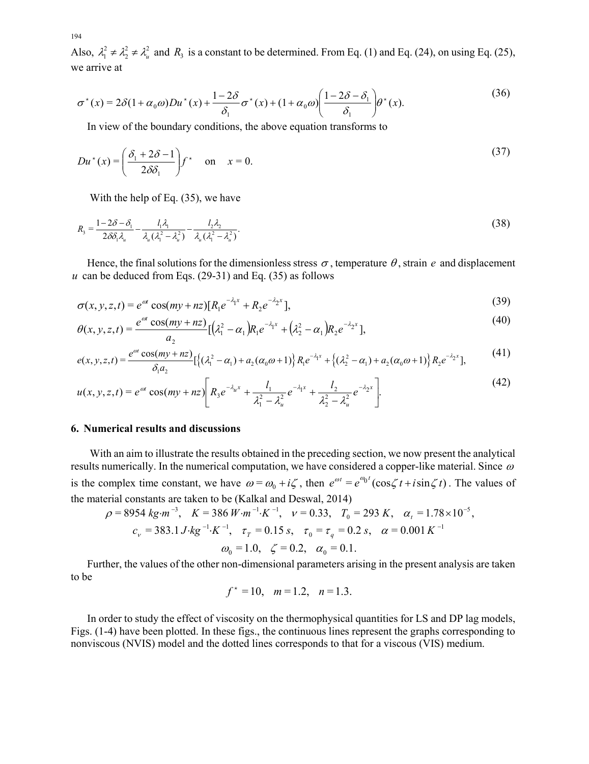Also,  $\lambda_1^2 \neq \lambda_2^2 \neq \lambda_3^2$  and  $R_3$  is a constant to be determined. From Eq. (1) and Eq. (24), on using Eq. (25), we arrive at

$$
\sigma^*(x) = 2\delta(1+\alpha_0\omega)Du^*(x) + \frac{1-2\delta}{\delta_1}\sigma^*(x) + (1+\alpha_0\omega)\left(\frac{1-2\delta-\delta_1}{\delta_1}\right)\theta^*(x).
$$
\n(36)

In view of the boundary conditions, the above equation transforms to

$$
Du^*(x) = \left(\frac{\delta_1 + 2\delta - 1}{2\delta\delta_1}\right) f^* \quad \text{on} \quad x = 0. \tag{37}
$$

With the help of Eq. (35), we have

$$
R_{3} = \frac{1 - 2\delta - \delta_{1}}{2\delta\delta_{1}\lambda_{u}} - \frac{l_{1}\lambda_{1}}{\lambda_{u}(\lambda_{1}^{2} - \lambda_{u}^{2})} - \frac{l_{2}\lambda_{2}}{\lambda_{u}(\lambda_{1}^{2} - \lambda_{u}^{2})}.
$$
\n(38)

Hence, the final solutions for the dimensionless stress  $\sigma$ , temperature  $\theta$ , strain  $e$  and displacement  $u$  can be deduced from Eqs. (29-31) and Eq. (35) as follows

 $\sigma(x, y, z, t) = e^{\omega t} \cos(my + nz)[R_1 e^{-\lambda_1 x} + R_2 e^{-\lambda_2 x}],$ (39)

$$
\theta(x, y, z, t) = \frac{e^{\alpha t} \cos(my + nz)}{a_2} [(\lambda_1^2 - \alpha_1) R_1 e^{-\lambda_1 x} + (\lambda_2^2 - \alpha_1) R_2 e^{-\lambda_2 x}], \tag{40}
$$

$$
e(x, y, z, t) = \frac{e^{\omega t} \cos(my + nz)}{\delta_1 a_2} [\{( \lambda_1^2 - \alpha_1) + a_2(\alpha_0 \omega + 1) \} R_1 e^{-\lambda_1 x} + \{ (\lambda_2^2 - \alpha_1) + a_2(\alpha_0 \omega + 1) \} R_2 e^{-\lambda_2 x}],
$$
(41)

$$
u(x, y, z, t) = e^{\omega t} \cos(my + nz) \bigg[ R_3 e^{-\lambda_u x} + \frac{l_1}{\lambda_1^2 - \lambda_u^2} e^{-\lambda_1 x} + \frac{l_2}{\lambda_2^2 - \lambda_u^2} e^{-\lambda_2 x} \bigg]. \tag{42}
$$

# **6. Numerical results and discussions**

 With an aim to illustrate the results obtained in the preceding section, we now present the analytical results numerically. In the numerical computation, we have considered a copper-like material. Since  $\omega$ is the complex time constant, we have  $\omega = \omega_0 + i\zeta$ , then  $e^{\omega t} = e^{\omega_0 t} (\cos \zeta t + i \sin \zeta t)$ . The values of the material constants are taken to be (Kalkal and Deswal, 2014)

$$
\rho = 8954 \text{ kg} \cdot m^{-3}, \quad K = 386 \text{ W} \cdot m^{-1} \cdot K^{-1}, \quad \nu = 0.33, \quad T_0 = 293 \text{ K}, \quad \alpha_t = 1.78 \times 10^{-5},
$$
\n
$$
c_v = 383.1 \text{ J} \cdot \text{kg}^{-1} \cdot K^{-1}, \quad \tau_T = 0.15 \text{ s}, \quad \tau_0 = \tau_q = 0.2 \text{ s}, \quad \alpha = 0.001 \text{ K}^{-1}
$$
\n
$$
\omega_0 = 1.0, \quad \zeta = 0.2, \quad \alpha_0 = 0.1.
$$

 Further, the values of the other non-dimensional parameters arising in the present analysis are taken to be

$$
f^* = 10
$$
,  $m = 1.2$ ,  $n = 1.3$ .

 In order to study the effect of viscosity on the thermophysical quantities for LS and DP lag models, Figs. (1-4) have been plotted. In these figs., the continuous lines represent the graphs corresponding to nonviscous (NVIS) model and the dotted lines corresponds to that for a viscous (VIS) medium.

194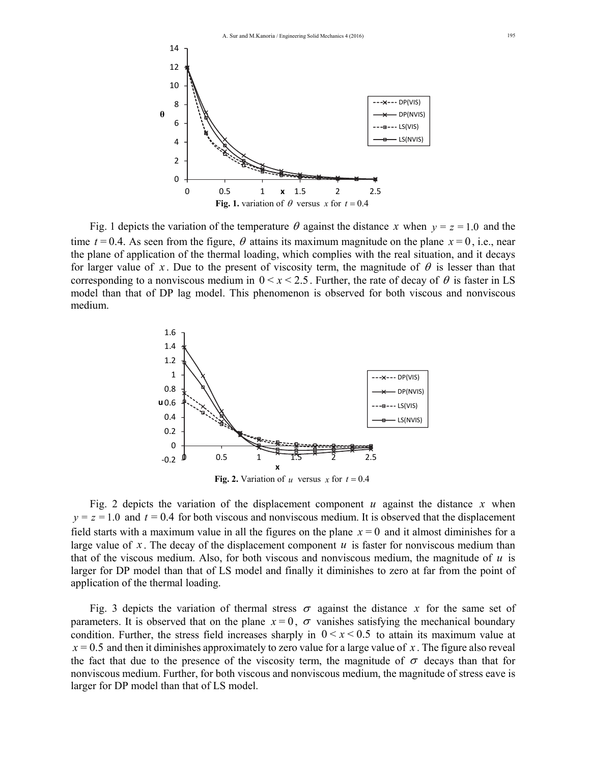

Fig. 1 depicts the variation of the temperature  $\theta$  against the distance *x* when  $y = z = 1.0$  and the time  $t = 0.4$ . As seen from the figure,  $\theta$  attains its maximum magnitude on the plane  $x = 0$ , i.e., near the plane of application of the thermal loading, which complies with the real situation, and it decays for larger value of x. Due to the present of viscosity term, the magnitude of  $\theta$  is lesser than that corresponding to a nonviscous medium in  $0 \le x \le 2.5$ . Further, the rate of decay of  $\theta$  is faster in LS model than that of DP lag model. This phenomenon is observed for both viscous and nonviscous medium.



Fig. 2 depicts the variation of the displacement component  $u$  against the distance  $x$  when  $y = z = 1.0$  and  $t = 0.4$  for both viscous and nonviscous medium. It is observed that the displacement field starts with a maximum value in all the figures on the plane  $x = 0$  and it almost diminishes for a large value of x. The decay of the displacement component  $u$  is faster for nonviscous medium than that of the viscous medium. Also, for both viscous and nonviscous medium, the magnitude of  $u$  is larger for DP model than that of LS model and finally it diminishes to zero at far from the point of application of the thermal loading.

Fig. 3 depicts the variation of thermal stress  $\sigma$  against the distance x for the same set of parameters. It is observed that on the plane  $x=0$ ,  $\sigma$  vanishes satisfying the mechanical boundary condition. Further, the stress field increases sharply in  $0 \le x \le 0.5$  to attain its maximum value at  $x = 0.5$  and then it diminishes approximately to zero value for a large value of x. The figure also reveal the fact that due to the presence of the viscosity term, the magnitude of  $\sigma$  decays than that for nonviscous medium. Further, for both viscous and nonviscous medium, the magnitude of stress eave is larger for DP model than that of LS model.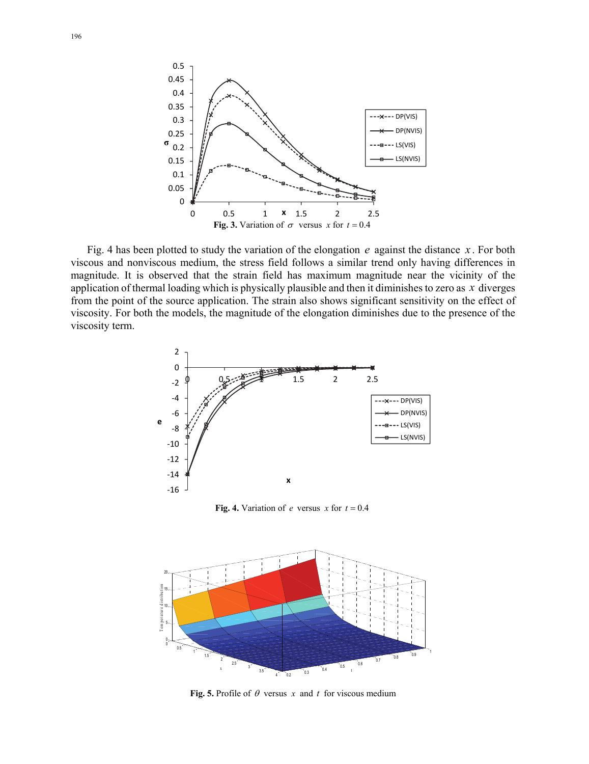

Fig. 4 has been plotted to study the variation of the elongation  $e$  against the distance  $\dot{x}$ . For both viscous and nonviscous medium, the stress field follows a similar trend only having differences in magnitude. It is observed that the strain field has maximum magnitude near the vicinity of the application of thermal loading which is physically plausible and then it diminishes to zero as *x* diverges from the point of the source application. The strain also shows significant sensitivity on the effect of viscosity. For both the models, the magnitude of the elongation diminishes due to the presence of the viscosity term.



**Fig. 4.** Variation of *e* versus *x* for  $t = 0.4$ 



**Fig. 5.** Profile of  $\theta$  versus *x* and *t* for viscous medium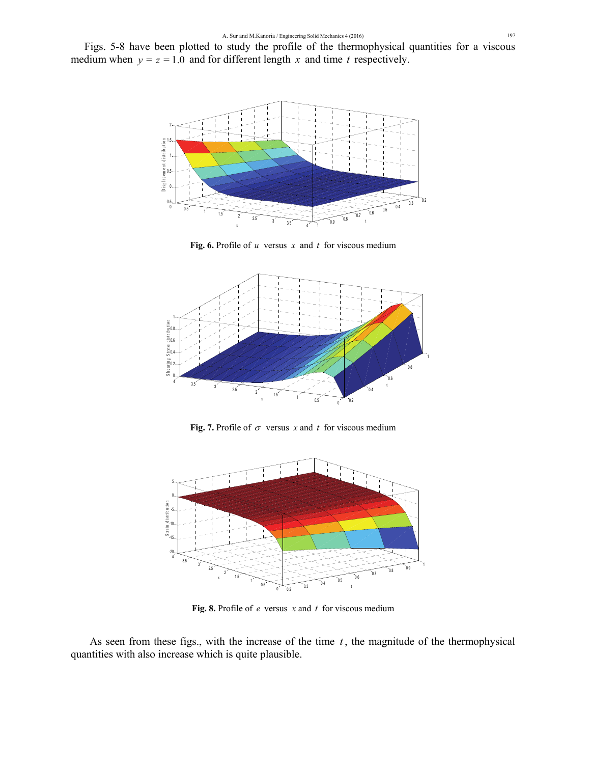Figs. 5-8 have been plotted to study the profile of the thermophysical quantities for a viscous medium when  $y = z = 1.0$  and for different length x and time t respectively.



**Fig. 6.** Profile of *u* versus *x* and *t* for viscous medium



**Fig. 7.** Profile of  $\sigma$  versus *x* and *t* for viscous medium



**Fig. 8.** Profile of *e* versus *x* and *t* for viscous medium

As seen from these figs., with the increase of the time  $t$ , the magnitude of the thermophysical quantities with also increase which is quite plausible.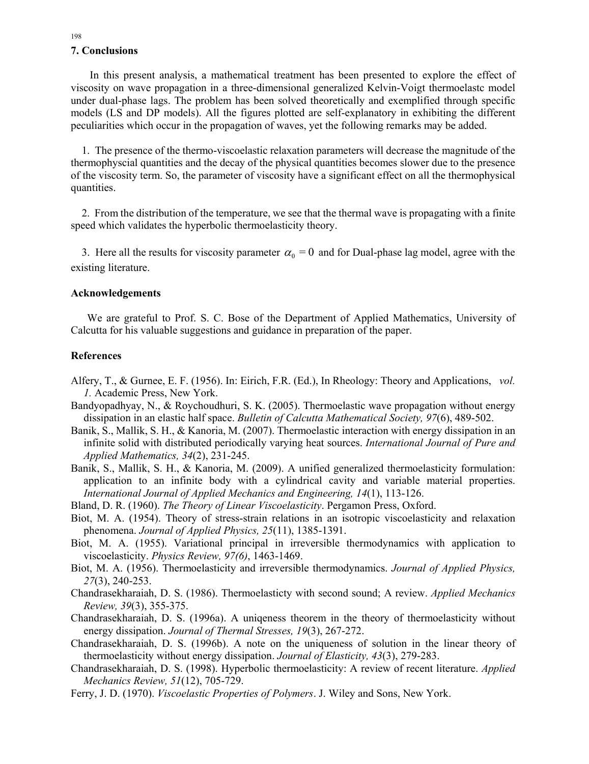## **7. Conclusions**

 In this present analysis, a mathematical treatment has been presented to explore the effect of viscosity on wave propagation in a three-dimensional generalized Kelvin-Voigt thermoelastc model under dual-phase lags. The problem has been solved theoretically and exemplified through specific models (LS and DP models). All the figures plotted are self-explanatory in exhibiting the different peculiarities which occur in the propagation of waves, yet the following remarks may be added.

 1. The presence of the thermo-viscoelastic relaxation parameters will decrease the magnitude of the thermophyscial quantities and the decay of the physical quantities becomes slower due to the presence of the viscosity term. So, the parameter of viscosity have a significant effect on all the thermophysical quantities.

 2. From the distribution of the temperature, we see that the thermal wave is propagating with a finite speed which validates the hyperbolic thermoelasticity theory.

3. Here all the results for viscosity parameter  $\alpha_0 = 0$  and for Dual-phase lag model, agree with the existing literature.

### **Acknowledgements**

 We are grateful to Prof. S. C. Bose of the Department of Applied Mathematics, University of Calcutta for his valuable suggestions and guidance in preparation of the paper.

### **References**

- Alfery, T., & Gurnee, E. F. (1956). In: Eirich, F.R. (Ed.), In Rheology: Theory and Applications, *vol. 1.* Academic Press, New York.
- Bandyopadhyay, N., & Roychoudhuri, S. K. (2005). Thermoelastic wave propagation without energy dissipation in an elastic half space. *Bulletin of Calcutta Mathematical Society, 97*(6), 489-502.
- Banik, S., Mallik, S. H., & Kanoria, M. (2007). Thermoelastic interaction with energy dissipation in an infinite solid with distributed periodically varying heat sources. *International Journal of Pure and Applied Mathematics, 34*(2), 231-245.
- Banik, S., Mallik, S. H., & Kanoria, M. (2009). A unified generalized thermoelasticity formulation: application to an infinite body with a cylindrical cavity and variable material properties. *International Journal of Applied Mechanics and Engineering, 14*(1), 113-126.
- Bland, D. R. (1960). *The Theory of Linear Viscoelasticity*. Pergamon Press, Oxford.
- Biot, M. A. (1954). Theory of stress-strain relations in an isotropic viscoelasticity and relaxation phenomena. *Journal of Applied Physics, 25*(11), 1385-1391.
- Biot, M. A. (1955). Variational principal in irreversible thermodynamics with application to viscoelasticity. *Physics Review, 97(6)*, 1463-1469.
- Biot, M. A. (1956). Thermoelasticity and irreversible thermodynamics. *Journal of Applied Physics, 27*(3), 240-253.
- Chandrasekharaiah, D. S. (1986). Thermoelasticty with second sound; A review. *Applied Mechanics Review, 39*(3), 355-375.
- Chandrasekharaiah, D. S. (1996a). A uniqeness theorem in the theory of thermoelasticity without energy dissipation. *Journal of Thermal Stresses, 19*(3), 267-272.
- Chandrasekharaiah, D. S. (1996b). A note on the uniqueness of solution in the linear theory of thermoelasticity without energy dissipation. *Journal of Elasticity, 43*(3), 279-283.
- Chandrasekharaiah, D. S. (1998). Hyperbolic thermoelasticity: A review of recent literature. *Applied Mechanics Review, 51*(12), 705-729.
- Ferry, J. D. (1970). *Viscoelastic Properties of Polymers*. J. Wiley and Sons, New York.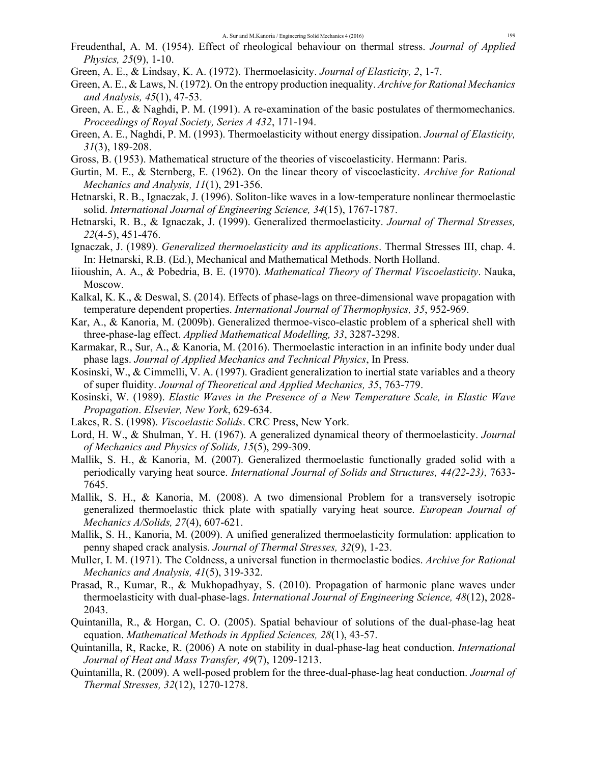- Freudenthal, A. M. (1954). Effect of rheological behaviour on thermal stress. *Journal of Applied Physics, 25*(9), 1-10.
- Green, A. E., & Lindsay, K. A. (1972). Thermoelasicity. *Journal of Elasticity, 2*, 1-7.
- Green, A. E., & Laws, N. (1972). On the entropy production inequality. *Archive for Rational Mechanics and Analysis, 45*(1), 47-53.
- Green, A. E., & Naghdi, P. M. (1991). A re-examination of the basic postulates of thermomechanics. *Proceedings of Royal Society, Series A 432*, 171-194.
- Green, A. E., Naghdi, P. M. (1993). Thermoelasticity without energy dissipation. *Journal of Elasticity, 31*(3), 189-208.
- Gross, B. (1953). Mathematical structure of the theories of viscoelasticity. Hermann: Paris.
- Gurtin, M. E., & Sternberg, E. (1962). On the linear theory of viscoelasticity. *Archive for Rational Mechanics and Analysis, 11*(1), 291-356.
- Hetnarski, R. B., Ignaczak, J. (1996). Soliton-like waves in a low-temperature nonlinear thermoelastic solid. *International Journal of Engineering Science, 34*(15), 1767-1787.
- Hetnarski, R. B., & Ignaczak, J. (1999). Generalized thermoelasticity. *Journal of Thermal Stresses, 22*(4-5), 451-476.
- Ignaczak, J. (1989). *Generalized thermoelasticity and its applications*. Thermal Stresses III, chap. 4. In: Hetnarski, R.B. (Ed.), Mechanical and Mathematical Methods. North Holland.
- Iiioushin, A. A., & Pobedria, B. E. (1970). *Mathematical Theory of Thermal Viscoelasticity*. Nauka, Moscow.
- Kalkal, K. K., & Deswal, S. (2014). Effects of phase-lags on three-dimensional wave propagation with temperature dependent properties. *International Journal of Thermophysics, 35*, 952-969.
- Kar, A., & Kanoria, M. (2009b). Generalized thermoe-visco-elastic problem of a spherical shell with three-phase-lag effect. *Applied Mathematical Modelling, 33*, 3287-3298.
- Karmakar, R., Sur, A., & Kanoria, M. (2016). Thermoelastic interaction in an infinite body under dual phase lags. *Journal of Applied Mechanics and Technical Physics*, In Press.
- Kosinski, W., & Cimmelli, V. A. (1997). Gradient generalization to inertial state variables and a theory of super fluidity. *Journal of Theoretical and Applied Mechanics, 35*, 763-779.
- Kosinski, W. (1989). *Elastic Waves in the Presence of a New Temperature Scale, in Elastic Wave Propagation*. *Elsevier, New York*, 629-634.
- Lakes, R. S. (1998). *Viscoelastic Solids*. CRC Press, New York.
- Lord, H. W., & Shulman, Y. H. (1967). A generalized dynamical theory of thermoelasticity. *Journal of Mechanics and Physics of Solids, 15*(5), 299-309.
- Mallik, S. H., & Kanoria, M. (2007). Generalized thermoelastic functionally graded solid with a periodically varying heat source. *International Journal of Solids and Structures, 44(22-23)*, 7633- 7645.
- Mallik, S. H., & Kanoria, M. (2008). A two dimensional Problem for a transversely isotropic generalized thermoelastic thick plate with spatially varying heat source. *European Journal of Mechanics A/Solids, 27*(4), 607-621.
- Mallik, S. H., Kanoria, M. (2009). A unified generalized thermoelasticity formulation: application to penny shaped crack analysis. *Journal of Thermal Stresses, 32*(9), 1-23.
- Muller, I. M. (1971). The Coldness, a universal function in thermoelastic bodies. *Archive for Rational Mechanics and Analysis, 41*(5), 319-332.
- Prasad, R., Kumar, R., & Mukhopadhyay, S. (2010). Propagation of harmonic plane waves under thermoelasticity with dual-phase-lags. *International Journal of Engineering Science, 48*(12), 2028- 2043.
- Quintanilla, R., & Horgan, C. O. (2005). Spatial behaviour of solutions of the dual-phase-lag heat equation. *Mathematical Methods in Applied Sciences, 28*(1), 43-57.
- Quintanilla, R, Racke, R. (2006) A note on stability in dual-phase-lag heat conduction. *International Journal of Heat and Mass Transfer, 49*(7), 1209-1213.
- Quintanilla, R. (2009). A well-posed problem for the three-dual-phase-lag heat conduction. *Journal of Thermal Stresses, 32*(12), 1270-1278.